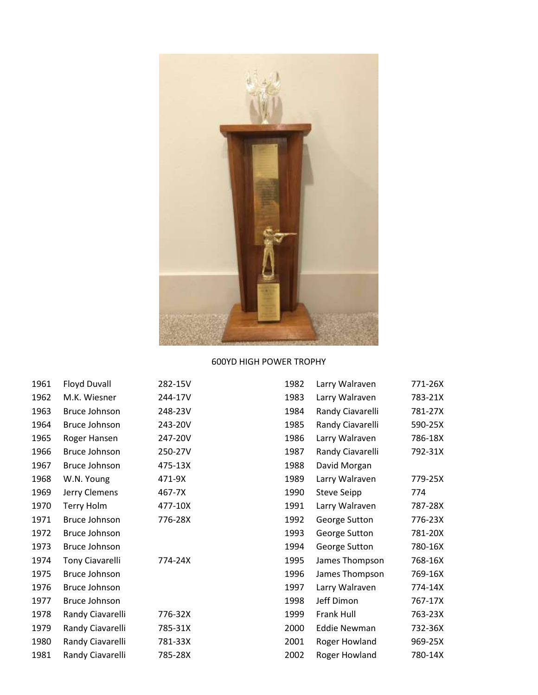

## 600YD HIGH POWER TROPHY

| 1961 | Floyd Duvall           | 282-15V | 1982 | Larry Walraven      | 771-26X |
|------|------------------------|---------|------|---------------------|---------|
| 1962 | M.K. Wiesner           | 244-17V | 1983 | Larry Walraven      | 783-21X |
| 1963 | Bruce Johnson          | 248-23V | 1984 | Randy Ciavarelli    | 781-27X |
| 1964 | Bruce Johnson          | 243-20V | 1985 | Randy Ciavarelli    | 590-25X |
| 1965 | Roger Hansen           | 247-20V | 1986 | Larry Walraven      | 786-18X |
| 1966 | Bruce Johnson          | 250-27V | 1987 | Randy Ciavarelli    | 792-31X |
| 1967 | Bruce Johnson          | 475-13X | 1988 | David Morgan        |         |
| 1968 | W.N. Young             | 471-9X  | 1989 | Larry Walraven      | 779-25X |
| 1969 | Jerry Clemens          | 467-7X  | 1990 | Steve Seipp         | 774     |
| 1970 | Terry Holm             | 477-10X | 1991 | Larry Walraven      | 787-28X |
| 1971 | Bruce Johnson          | 776-28X | 1992 | George Sutton       | 776-23X |
| 1972 | Bruce Johnson          |         | 1993 | George Sutton       | 781-20X |
| 1973 | Bruce Johnson          |         | 1994 | George Sutton       | 780-16X |
| 1974 | <b>Tony Ciavarelli</b> | 774-24X | 1995 | James Thompson      | 768-16X |
| 1975 | Bruce Johnson          |         | 1996 | James Thompson      | 769-16X |
| 1976 | Bruce Johnson          |         | 1997 | Larry Walraven      | 774-14X |
| 1977 | Bruce Johnson          |         | 1998 | Jeff Dimon          | 767-17X |
| 1978 | Randy Ciavarelli       | 776-32X | 1999 | Frank Hull          | 763-23X |
| 1979 | Randy Ciavarelli       | 785-31X | 2000 | <b>Eddie Newman</b> | 732-36X |
| 1980 | Randy Ciavarelli       | 781-33X | 2001 | Roger Howland       | 969-25X |
| 1981 | Randy Ciavarelli       | 785-28X | 2002 | Roger Howland       | 780-14X |